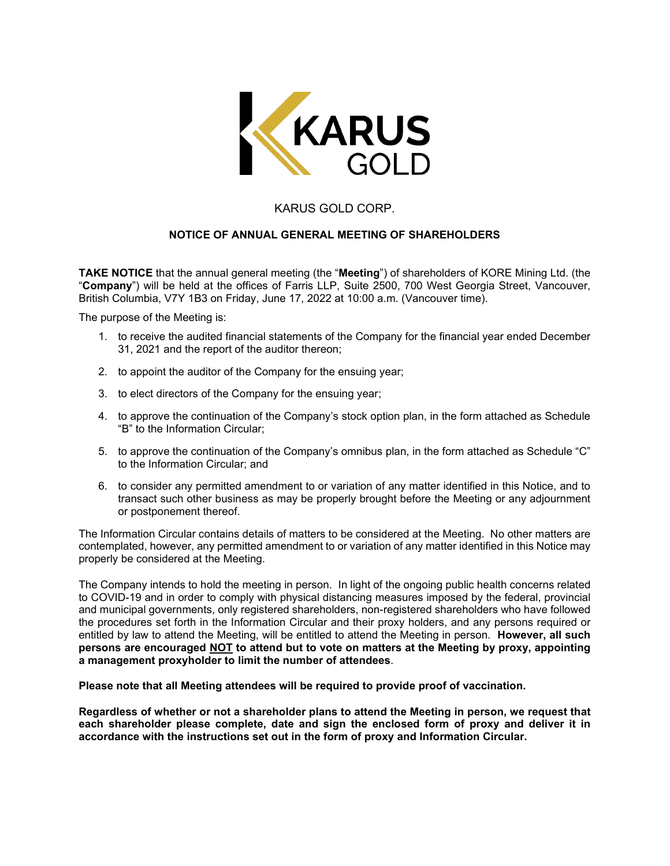

## KARUS GOLD CORP.

## **NOTICE OF ANNUAL GENERAL MEETING OF SHAREHOLDERS**

**TAKE NOTICE** that the annual general meeting (the "**Meeting**") of shareholders of KORE Mining Ltd. (the "**Company**") will be held at the offices of Farris LLP, Suite 2500, 700 West Georgia Street, Vancouver, British Columbia, V7Y 1B3 on Friday, June 17, 2022 at 10:00 a.m. (Vancouver time).

The purpose of the Meeting is:

- 1. to receive the audited financial statements of the Company for the financial year ended December 31, 2021 and the report of the auditor thereon;
- 2. to appoint the auditor of the Company for the ensuing year;
- 3. to elect directors of the Company for the ensuing year;
- 4. to approve the continuation of the Company's stock option plan, in the form attached as Schedule "B" to the Information Circular;
- 5. to approve the continuation of the Company's omnibus plan, in the form attached as Schedule "C" to the Information Circular; and
- 6. to consider any permitted amendment to or variation of any matter identified in this Notice, and to transact such other business as may be properly brought before the Meeting or any adjournment or postponement thereof.

The Information Circular contains details of matters to be considered at the Meeting. No other matters are contemplated, however, any permitted amendment to or variation of any matter identified in this Notice may properly be considered at the Meeting.

The Company intends to hold the meeting in person. In light of the ongoing public health concerns related to COVID-19 and in order to comply with physical distancing measures imposed by the federal, provincial and municipal governments, only registered shareholders, non-registered shareholders who have followed the procedures set forth in the Information Circular and their proxy holders, and any persons required or entitled by law to attend the Meeting, will be entitled to attend the Meeting in person. **However, all such persons are encouraged NOT to attend but to vote on matters at the Meeting by proxy, appointing a management proxyholder to limit the number of attendees**.

**Please note that all Meeting attendees will be required to provide proof of vaccination.**

**Regardless of whether or not a shareholder plans to attend the Meeting in person, we request that each shareholder please complete, date and sign the enclosed form of proxy and deliver it in accordance with the instructions set out in the form of proxy and Information Circular.**